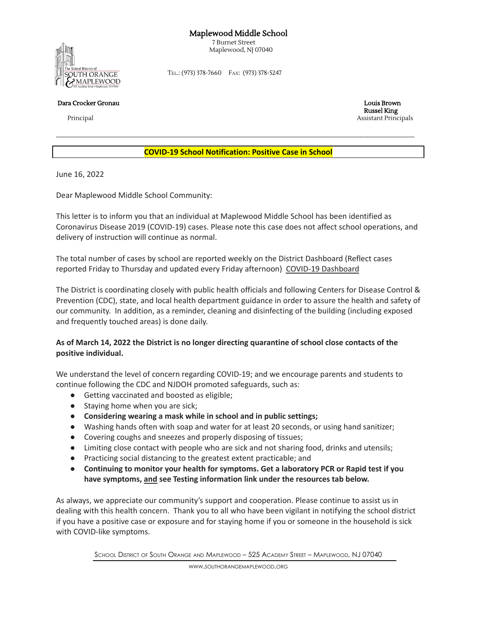## Maplewood Middle School

7 Burnet Street Maplewood, NJ 07040



TEL.: (973) 378-7660 FAX: (973) 378-5247

Dara Crocker Gronau Louis Brown

Russel King Principal Assistant Principals

**COVID-19 School Notification: Positive Case in School**

 $\mathcal{L}_\text{max} = \frac{1}{2} \sum_{i=1}^{n} \mathcal{L}_\text{max} = \frac{1}{2} \sum_{i=1}^{n} \mathcal{L}_\text{max} = \frac{1}{2} \sum_{i=1}^{n} \mathcal{L}_\text{max} = \frac{1}{2} \sum_{i=1}^{n} \mathcal{L}_\text{max} = \frac{1}{2} \sum_{i=1}^{n} \mathcal{L}_\text{max} = \frac{1}{2} \sum_{i=1}^{n} \mathcal{L}_\text{max} = \frac{1}{2} \sum_{i=1}^{n} \mathcal{L}_\text{max} = \frac{1}{$ 

June 16, 2022

Dear Maplewood Middle School Community:

This letter is to inform you that an individual at Maplewood Middle School has been identified as Coronavirus Disease 2019 (COVID-19) cases. Please note this case does not affect school operations, and delivery of instruction will continue as normal.

The total number of cases by school are reported weekly on the District Dashboard (Reflect cases reported Friday to Thursday and updated every Friday afternoon) COVID-19 [Dashboard](https://www.somsd.k12.nj.us/coviddata/)

The District is coordinating closely with public health officials and following Centers for Disease Control & Prevention (CDC), state, and local health department guidance in order to assure the health and safety of our community. In addition, as a reminder, cleaning and disinfecting of the building (including exposed and frequently touched areas) is done daily.

## As of March 14, 2022 the District is no longer directing quarantine of school close contacts of the **positive individual.**

We understand the level of concern regarding COVID-19; and we encourage parents and students to continue following the CDC and NJDOH promoted safeguards, such as:

- Getting vaccinated and boosted as eligible;
- Staying home when you are sick;
- **● Considering wearing a mask while in school and in public settings;**
- Washing hands often with soap and water for at least 20 seconds, or using hand sanitizer;
- Covering coughs and sneezes and properly disposing of tissues;
- Limiting close contact with people who are sick and not sharing food, drinks and utensils;
- Practicing social distancing to the greatest extent practicable; and
- **● Continuing to monitor your health for symptoms. Get a laboratory PCR or Rapid test if you have symptoms, and see Testing information link under the resources tab below.**

As always, we appreciate our community's support and cooperation. Please continue to assist us in dealing with this health concern. Thank you to all who have been vigilant in notifying the school district if you have a positive case or exposure and for staying home if you or someone in the household is sick with COVID-like symptoms.

SCHOOL DISTRICT OF SOUTH ORANGE AND MAPLEWOOD – 525 ACADEMY STREET – MAPLEWOOD, NJ 07040